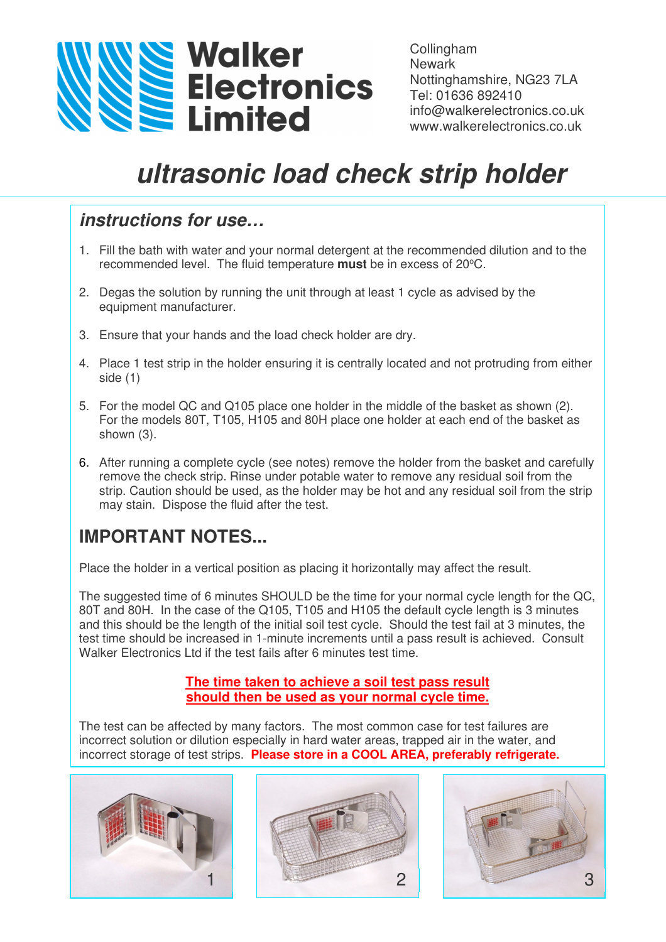

Collingham **Newark** Nottinghamshire, NG23 7LA Tel: 01636 892410 info@walkerelectronics.co.uk www.walkerelectronics.co.uk

# **ultrasonic load check strip holder**

### **instructions for use…**

- 1. Fill the bath with water and your normal detergent at the recommended dilution and to the recommended level. The fluid temperature must be in excess of 20°C.
- 2. Degas the solution by running the unit through at least 1 cycle as advised by the equipment manufacturer.
- 3. Ensure that your hands and the load check holder are dry.
- 4. Place 1 test strip in the holder ensuring it is centrally located and not protruding from either side (1)
- 5. For the model QC and Q105 place one holder in the middle of the basket as shown (2). For the models 80T, T105, H105 and 80H place one holder at each end of the basket as shown (3).
- 6. After running a complete cycle (see notes) remove the holder from the basket and carefully remove the check strip. Rinse under potable water to remove any residual soil from the strip. Caution should be used, as the holder may be hot and any residual soil from the strip may stain. Dispose the fluid after the test.

# **IMPORTANT NOTES...**

Place the holder in a vertical position as placing it horizontally may affect the result.

The suggested time of 6 minutes SHOULD be the time for your normal cycle length for the QC, 80T and 80H. In the case of the Q105, T105 and H105 the default cycle length is 3 minutes and this should be the length of the initial soil test cycle. Should the test fail at 3 minutes, the test time should be increased in 1-minute increments until a pass result is achieved. Consult Walker Electronics Ltd if the test fails after 6 minutes test time.

#### **The time taken to achieve a soil test pass result should then be used as your normal cycle time.**

The test can be affected by many factors. The most common case for test failures are incorrect solution or dilution especially in hard water areas, trapped air in the water, and incorrect storage of test strips. **Please store in a COOL AREA, preferably refrigerate.**